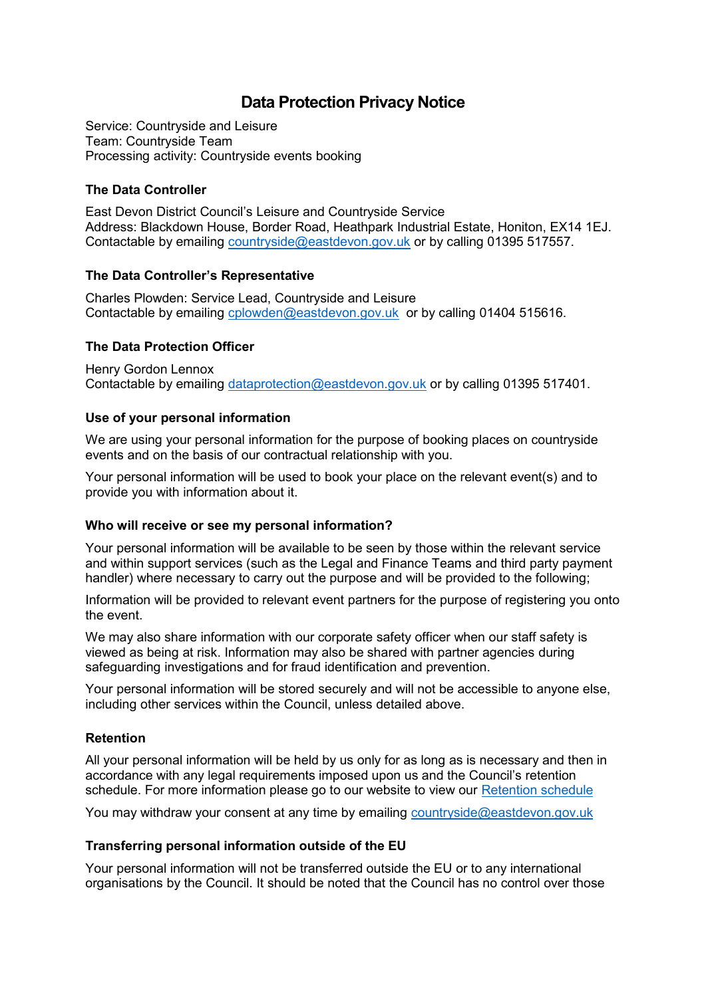# **Data Protection Privacy Notice**

Service: Countryside and Leisure Team: Countryside Team Processing activity: Countryside events booking

## **The Data Controller**

East Devon District Council's Leisure and Countryside Service Address: Blackdown House, Border Road, Heathpark Industrial Estate, Honiton, EX14 1EJ. Contactable by emailing [countryside@eastdevon.gov.uk](mailto:countryside@eastdevon.gov.uk) or by calling 01395 517557.

## **The Data Controller's Representative**

Charles Plowden: Service Lead, Countryside and Leisure Contactable by emailing [cplowden@eastdevon.gov.uk](mailto:cplowden@eastdevon.gov.uk) or by calling 01404 515616.

## **The Data Protection Officer**

Henry Gordon Lennox Contactable by emailing [dataprotection@eastdevon.gov.uk](mailto:dataprotection@eastdevon.gov.uk) or by calling 01395 517401.

## **Use of your personal information**

We are using your personal information for the purpose of booking places on countryside events and on the basis of our contractual relationship with you.

Your personal information will be used to book your place on the relevant event(s) and to provide you with information about it.

### **Who will receive or see my personal information?**

Your personal information will be available to be seen by those within the relevant service and within support services (such as the Legal and Finance Teams and third party payment handler) where necessary to carry out the purpose and will be provided to the following;

Information will be provided to relevant event partners for the purpose of registering you onto the event.

We may also share information with our corporate safety officer when our staff safety is viewed as being at risk. Information may also be shared with partner agencies during safeguarding investigations and for fraud identification and prevention.

Your personal information will be stored securely and will not be accessible to anyone else, including other services within the Council, unless detailed above.

## **Retention**

All your personal information will be held by us only for as long as is necessary and then in accordance with any legal requirements imposed upon us and the Council's retention schedule. For more information please go to our website to view our [Retention schedule](http://eastdevon.gov.uk/access-to-information/data-protection/document-retention-schedules/)

You may withdraw your consent at any time by emailing [countryside@eastdevon.gov.uk](mailto:countryside@eastdevon.gov.uk)

### **Transferring personal information outside of the EU**

Your personal information will not be transferred outside the EU or to any international organisations by the Council. It should be noted that the Council has no control over those